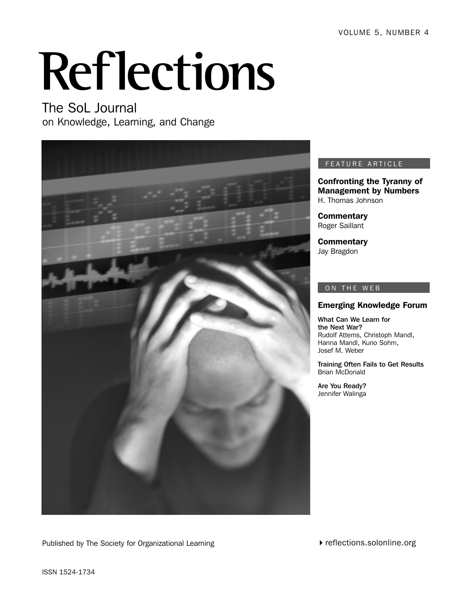VOLUME 5, NUMBER 4

# **Reflections**

The SoL Journal on Knowledge, Learning, and Change



#### FEATURE ARTICLE

Confronting the Tyranny of Management by Numbers H. Thomas Johnson

**Commentary** Roger Saillant

**Commentary** Jay Bragdon

#### ON THE WEB

#### Emerging Knowledge Forum

What Can We Learn for the Next War? Rudolf Attems, Christoph Mandl, Hanna Mandl, Kuno Sohm, Josef M. Weber

Training Often Fails to Get Results Brian McDonald

Are You Ready? Jennifer Walinga

Published by The Society for Organizational Learning

reflections.solonline.org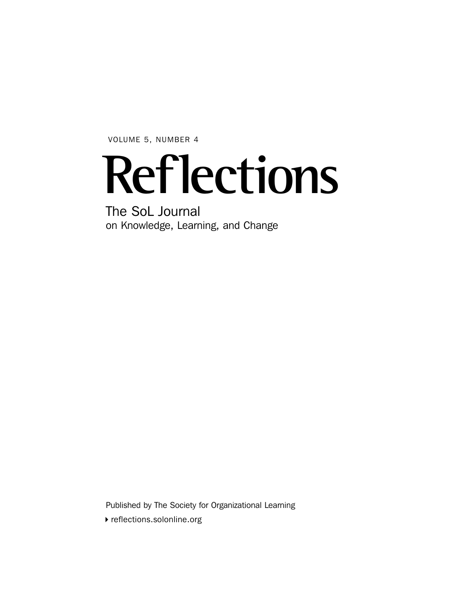VOLUME 5, NUMBER 4

## **Reflections**

The SoL Journal on Knowledge, Learning, and Change

Published by The Society for Organizational Learning

reflections.solonline.org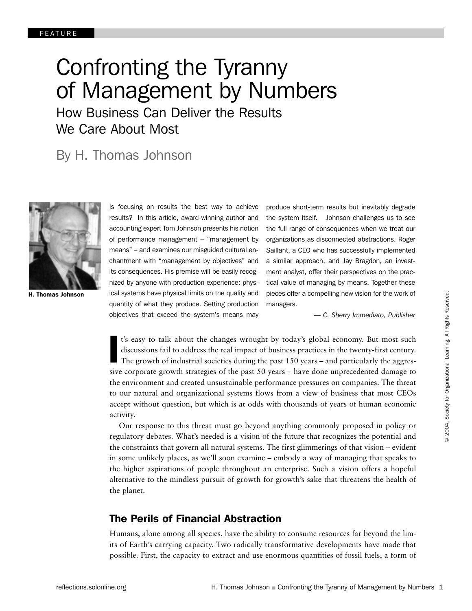## Confronting the Tyranny of Management by Numbers How Business Can Deliver the Results We Care About Most

## By H. Thomas Johnson



H. Thomas Johnson

Is focusing on results the best way to achieve results? In this article, award-winning author and accounting expert Tom Johnson presents his notion of performance management – "management by means" – and examines our misguided cultural enchantment with "management by objectives" and its consequences. His premise will be easily recognized by anyone with production experience: physical systems have physical limits on the quality and quantity of what they produce. Setting production objectives that exceed the system's means may

produce short-term results but inevitably degrade the system itself. Johnson challenges us to see the full range of consequences when we treat our organizations as disconnected abstractions. Roger Saillant, a CEO who has successfully implemented a similar approach, and Jay Bragdon, an investment analyst, offer their perspectives on the practical value of managing by means. Together these pieces offer a compelling new vision for the work of managers.

*— C. Sherry Immediato, Publisher*

t's easy to talk about the changes wrought by today's global economy. But most such discussions fail to address the real impact of business practices in the twenty-first century.<br>The growth of industrial societies during t t's easy to talk about the changes wrought by today's global economy. But most such discussions fail to address the real impact of business practices in the twenty-first century. The growth of industrial societies during the past 150 years – and particularly the aggresthe environment and created unsustainable performance pressures on companies. The threat to our natural and organizational systems flows from a view of business that most CEOs accept without question, but which is at odds with thousands of years of human economic activity.

Our response to this threat must go beyond anything commonly proposed in policy or regulatory debates. What's needed is a vision of the future that recognizes the potential and the constraints that govern all natural systems. The first glimmerings of that vision – evident in some unlikely places, as we'll soon examine – embody a way of managing that speaks to the higher aspirations of people throughout an enterprise. Such a vision offers a hopeful alternative to the mindless pursuit of growth for growth's sake that threatens the health of the planet.

### The Perils of Financial Abstraction

Humans, alone among all species, have the ability to consume resources far beyond the limits of Earth's carrying capacity. Two radically transformative developments have made that possible. First, the capacity to extract and use enormous quantities of fossil fuels, a form of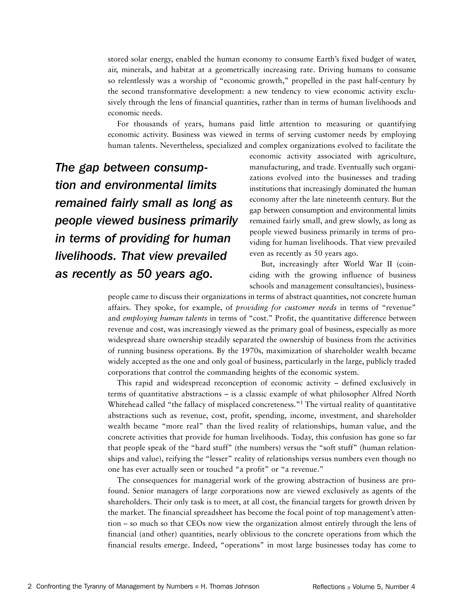stored solar energy, enabled the human economy to consume Earth's fixed budget of water, air, minerals, and habitat at a geometrically increasing rate. Driving humans to consume so relentlessly was a worship of "economic growth," propelled in the past half-century by the second transformative development: a new tendency to view economic activity exclusively through the lens of financial quantities, rather than in terms of human livelihoods and economic needs.

For thousands of years, humans paid little attention to measuring or quantifying economic activity. Business was viewed in terms of serving customer needs by employing human talents. Nevertheless, specialized and complex organizations evolved to facilitate the

*The gap between consumption and environmental limits remained fairly small as long as people viewed business primarily in terms of providing for human livelihoods. That view prevailed as recently as 50 years ago.*

economic activity associated with agriculture, manufacturing, and trade. Eventually such organizations evolved into the businesses and trading institutions that increasingly dominated the human economy after the late nineteenth century. But the gap between consumption and environmental limits remained fairly small, and grew slowly, as long as people viewed business primarily in terms of providing for human livelihoods. That view prevailed even as recently as 50 years ago.

 But, increasingly after World War II (coinciding with the growing influence of business schools and management consultancies), business-

people came to discuss their organizations in terms of abstract quantities, not concrete human affairs. They spoke, for example, of *providing for customer needs* in terms of "revenue" and *employing human talents* in terms of "cost." Profit, the quantitative difference between revenue and cost, was increasingly viewed as the primary goal of business, especially as more widespread share ownership steadily separated the ownership of business from the activities of running business operations. By the 1970s, maximization of shareholder wealth became widely accepted as the one and only goal of business, particularly in the large, publicly traded corporations that control the commanding heights of the economic system.

This rapid and widespread reconception of economic activity – defined exclusively in terms of quantitative abstractions – is a classic example of what philosopher Alfred North Whitehead called "the fallacy of misplaced concreteness."<sup>1</sup> The virtual reality of quantitative abstractions such as revenue, cost, profit, spending, income, investment, and shareholder wealth became "more real" than the lived reality of relationships, human value, and the concrete activities that provide for human livelihoods. Today, this confusion has gone so far that people speak of the "hard stuff" (the numbers) versus the "soft stuff" (human relationships and value), reifying the "lesser" reality of relationships versus numbers even though no one has ever actually seen or touched "a profit" or "a revenue."

The consequences for managerial work of the growing abstraction of business are profound. Senior managers of large corporations now are viewed exclusively as agents of the shareholders. Their only task is to meet, at all cost, the financial targets for growth driven by the market. The financial spreadsheet has become the focal point of top management's attention – so much so that CEOs now view the organization almost entirely through the lens of financial (and other) quantities, nearly oblivious to the concrete operations from which the financial results emerge. Indeed, "operations" in most large businesses today has come to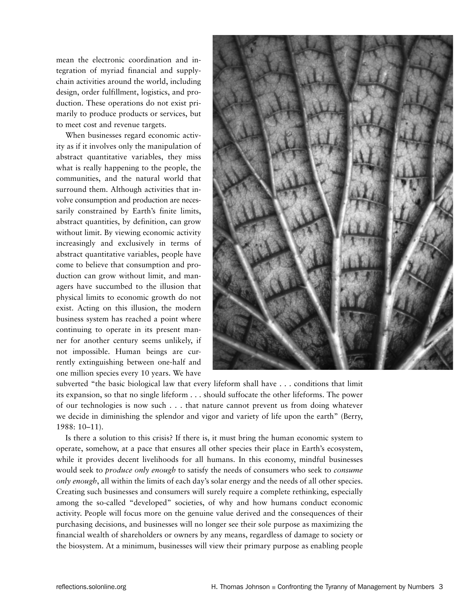mean the electronic coordination and integration of myriad financial and supplychain activities around the world, including design, order fulfillment, logistics, and production. These operations do not exist primarily to produce products or services, but to meet cost and revenue targets.

When businesses regard economic activity as if it involves only the manipulation of abstract quantitative variables, they miss what is really happening to the people, the communities, and the natural world that surround them. Although activities that involve consumption and production are necessarily constrained by Earth's finite limits, abstract quantities, by definition, can grow without limit. By viewing economic activity increasingly and exclusively in terms of abstract quantitative variables, people have come to believe that consumption and production can grow without limit, and managers have succumbed to the illusion that physical limits to economic growth do not exist. Acting on this illusion, the modern business system has reached a point where continuing to operate in its present manner for another century seems unlikely, if not impossible. Human beings are currently extinguishing between one-half and one million species every 10 years. We have



subverted "the basic biological law that every lifeform shall have . . . conditions that limit its expansion, so that no single lifeform . . . should suffocate the other lifeforms. The power of our technologies is now such . . . that nature cannot prevent us from doing whatever we decide in diminishing the splendor and vigor and variety of life upon the earth" (Berry, 1988: 10–11).

Is there a solution to this crisis? If there is, it must bring the human economic system to operate, somehow, at a pace that ensures all other species their place in Earth's ecosystem, while it provides decent livelihoods for all humans. In this economy, mindful businesses would seek to *produce only enough* to satisfy the needs of consumers who seek to *consume only enough*, all within the limits of each day's solar energy and the needs of all other species. Creating such businesses and consumers will surely require a complete rethinking, especially among the so-called "developed" societies, of why and how humans conduct economic activity. People will focus more on the genuine value derived and the consequences of their purchasing decisions, and businesses will no longer see their sole purpose as maximizing the financial wealth of shareholders or owners by any means, regardless of damage to society or the biosystem. At a minimum, businesses will view their primary purpose as enabling people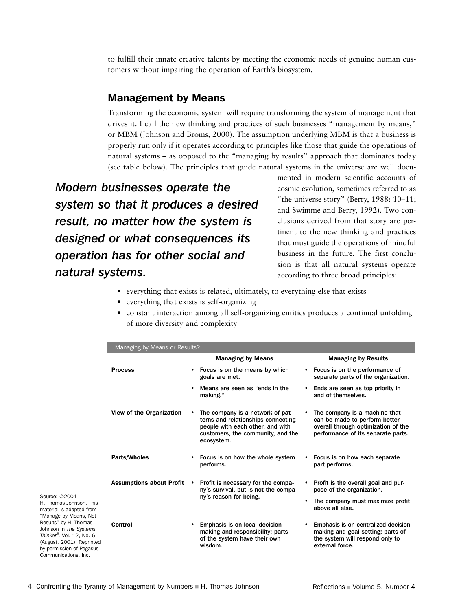to fulfill their innate creative talents by meeting the economic needs of genuine human customers without impairing the operation of Earth's biosystem.

### Management by Means

Transforming the economic system will require transforming the system of management that drives it. I call the new thinking and practices of such businesses "management by means," or MBM (Johnson and Broms, 2000). The assumption underlying MBM is that a business is properly run only if it operates according to principles like those that guide the operations of natural systems – as opposed to the "managing by results" approach that dominates today (see table below). The principles that guide natural systems in the universe are well docu-

*Modern businesses operate the system so that it produces a desired result, no matter how the system is designed or what consequences its operation has for other social and natural systems.*

mented in modern scientific accounts of cosmic evolution, sometimes referred to as "the universe story" (Berry, 1988: 10–11; and Swimme and Berry, 1992). Two conclusions derived from that story are pertinent to the new thinking and practices that must guide the operations of mindful business in the future. The first conclusion is that all natural systems operate according to three broad principles:

- everything that exists is related, ultimately, to everything else that exists
- everything that exists is self-organizing
- constant interaction among all self-organizing entities produces a continual unfolding of more diversity and complexity

| Managing by Means or Results?   |                                                                                                                                                                            |                                                                                                                                                          |
|---------------------------------|----------------------------------------------------------------------------------------------------------------------------------------------------------------------------|----------------------------------------------------------------------------------------------------------------------------------------------------------|
|                                 | <b>Managing by Means</b>                                                                                                                                                   | <b>Managing by Results</b>                                                                                                                               |
| <b>Process</b>                  | Focus is on the means by which<br>٠<br>goals are met.                                                                                                                      | Focus is on the performance of<br>$\bullet$<br>separate parts of the organization.                                                                       |
|                                 | Means are seen as "ends in the<br>$\bullet$<br>making."                                                                                                                    | Ends are seen as top priority in<br>$\bullet$<br>and of themselves.                                                                                      |
| <b>View of the Organization</b> | The company is a network of pat-<br>$\bullet$<br>terns and relationships connecting<br>people with each other, and with<br>customers, the community, and the<br>ecosystem. | The company is a machine that<br>$\bullet$<br>can be made to perform better<br>overall through optimization of the<br>performance of its separate parts. |
| <b>Parts/Wholes</b>             | Focus is on how the whole system<br>٠<br>performs.                                                                                                                         | Focus is on how each separate<br>٠<br>part performs.                                                                                                     |
| <b>Assumptions about Profit</b> | Profit is necessary for the compa-<br>$\bullet$<br>ny's survival, but is not the compa-<br>ny's reason for being.                                                          | Profit is the overall goal and pur-<br>$\bullet$<br>pose of the organization.<br>The company must maximize profit<br>$\bullet$<br>above all else.        |
| <b>Control</b>                  | Emphasis is on local decision<br>٠<br>making and responsibility; parts<br>of the system have their own<br>wisdom.                                                          | Emphasis is on centralized decision<br>$\bullet$<br>making and goal setting; parts of<br>the system will respond only to<br>external force.              |

Source: ©2001 H. Thomas Johnson. This material is adapted from "Manage by Means, Not Results" by H. Thomas Johnson in *The Systems Thinker®,* Vol. 12, No. 6 (August, 2001). Reprinted by permission of Pegasus Communications, Inc.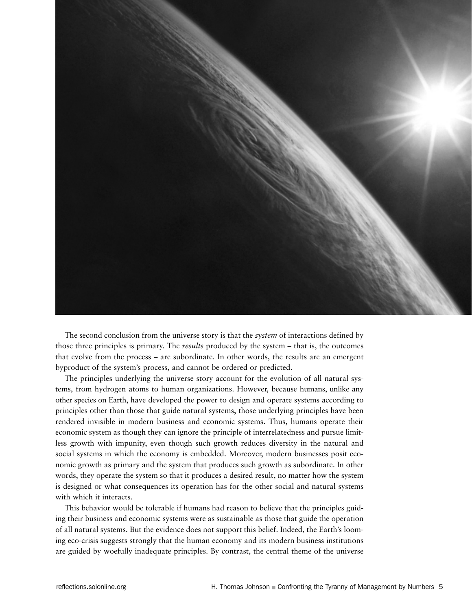

The second conclusion from the universe story is that the *system* of interactions defined by those three principles is primary. The *results* produced by the system – that is, the outcomes that evolve from the process – are subordinate. In other words, the results are an emergent byproduct of the system's process, and cannot be ordered or predicted.

The principles underlying the universe story account for the evolution of all natural systems, from hydrogen atoms to human organizations. However, because humans, unlike any other species on Earth, have developed the power to design and operate systems according to principles other than those that guide natural systems, those underlying principles have been rendered invisible in modern business and economic systems. Thus, humans operate their economic system as though they can ignore the principle of interrelatedness and pursue limitless growth with impunity, even though such growth reduces diversity in the natural and social systems in which the economy is embedded. Moreover, modern businesses posit economic growth as primary and the system that produces such growth as subordinate. In other words, they operate the system so that it produces a desired result, no matter how the system is designed or what consequences its operation has for the other social and natural systems with which it interacts.

This behavior would be tolerable if humans had reason to believe that the principles guiding their business and economic systems were as sustainable as those that guide the operation of all natural systems. But the evidence does not support this belief. Indeed, the Earth's looming eco-crisis suggests strongly that the human economy and its modern business institutions are guided by woefully inadequate principles. By contrast, the central theme of the universe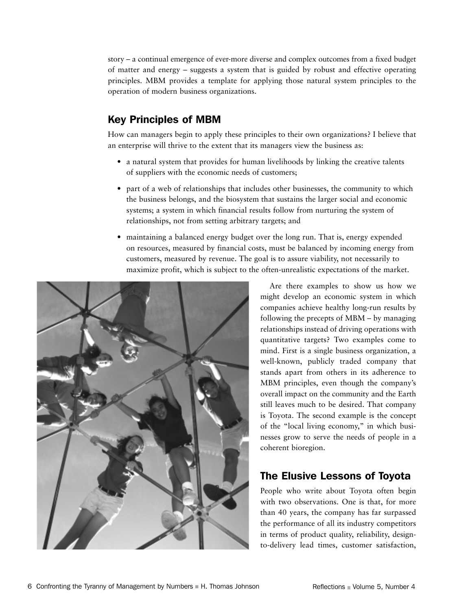story – a continual emergence of ever-more diverse and complex outcomes from a fixed budget of matter and energy – suggests a system that is guided by robust and effective operating principles. MBM provides a template for applying those natural system principles to the operation of modern business organizations.

## Key Principles of MBM

How can managers begin to apply these principles to their own organizations? I believe that an enterprise will thrive to the extent that its managers view the business as:

- a natural system that provides for human livelihoods by linking the creative talents of suppliers with the economic needs of customers;
- part of a web of relationships that includes other businesses, the community to which the business belongs, and the biosystem that sustains the larger social and economic systems; a system in which financial results follow from nurturing the system of relationships, not from setting arbitrary targets; and
- maintaining a balanced energy budget over the long run. That is, energy expended on resources, measured by financial costs, must be balanced by incoming energy from customers, measured by revenue. The goal is to assure viability, not necessarily to maximize profit, which is subject to the often-unrealistic expectations of the market.



Are there examples to show us how we might develop an economic system in which companies achieve healthy long-run results by following the precepts of MBM – by managing relationships instead of driving operations with quantitative targets? Two examples come to mind. First is a single business organization, a well-known, publicly traded company that stands apart from others in its adherence to MBM principles, even though the company's overall impact on the community and the Earth still leaves much to be desired. That company is Toyota. The second example is the concept of the "local living economy," in which businesses grow to serve the needs of people in a coherent bioregion.

## The Elusive Lessons of Toyota

People who write about Toyota often begin with two observations. One is that, for more than 40 years, the company has far surpassed the performance of all its industry competitors in terms of product quality, reliability, designto-delivery lead times, customer satisfaction,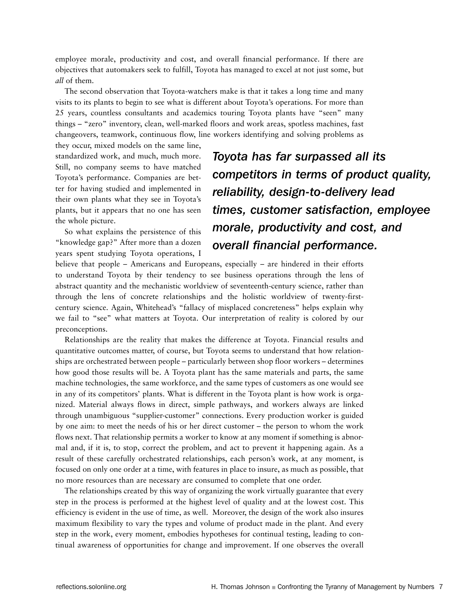employee morale, productivity and cost, and overall financial performance. If there are objectives that automakers seek to fulfill, Toyota has managed to excel at not just some, but *all* of them.

The second observation that Toyota-watchers make is that it takes a long time and many visits to its plants to begin to see what is different about Toyota's operations. For more than 25 years, countless consultants and academics touring Toyota plants have "seen" many things – "zero" inventory, clean, well-marked floors and work areas, spotless machines, fast changeovers, teamwork, continuous flow, line workers identifying and solving problems as

they occur, mixed models on the same line, standardized work, and much, much more. Still, no company seems to have matched Toyota's performance. Companies are better for having studied and implemented in their own plants what they see in Toyota's plants, but it appears that no one has seen the whole picture.

So what explains the persistence of this "knowledge gap?" After more than a dozen years spent studying Toyota operations, I

*Toyota has far surpassed all its competitors in terms of product quality, reliability, design-to-delivery lead times, customer satisfaction, employee morale, productivity and cost, and overall financial performance.* 

believe that people – Americans and Europeans, especially – are hindered in their efforts to understand Toyota by their tendency to see business operations through the lens of abstract quantity and the mechanistic worldview of seventeenth-century science, rather than through the lens of concrete relationships and the holistic worldview of twenty-firstcentury science. Again, Whitehead's "fallacy of misplaced concreteness" helps explain why we fail to "see" what matters at Toyota. Our interpretation of reality is colored by our preconceptions.

Relationships are the reality that makes the difference at Toyota. Financial results and quantitative outcomes matter, of course, but Toyota seems to understand that how relationships are orchestrated between people – particularly between shop floor workers – determines how good those results will be. A Toyota plant has the same materials and parts, the same machine technologies, the same workforce, and the same types of customers as one would see in any of its competitors' plants. What is different in the Toyota plant is how work is organized. Material always flows in direct, simple pathways, and workers always are linked through unambiguous "supplier-customer" connections. Every production worker is guided by one aim: to meet the needs of his or her direct customer – the person to whom the work flows next. That relationship permits a worker to know at any moment if something is abnormal and, if it is, to stop, correct the problem, and act to prevent it happening again. As a result of these carefully orchestrated relationships, each person's work, at any moment, is focused on only one order at a time, with features in place to insure, as much as possible, that no more resources than are necessary are consumed to complete that one order.

The relationships created by this way of organizing the work virtually guarantee that every step in the process is performed at the highest level of quality and at the lowest cost. This efficiency is evident in the use of time, as well. Moreover, the design of the work also insures maximum flexibility to vary the types and volume of product made in the plant. And every step in the work, every moment, embodies hypotheses for continual testing, leading to continual awareness of opportunities for change and improvement. If one observes the overall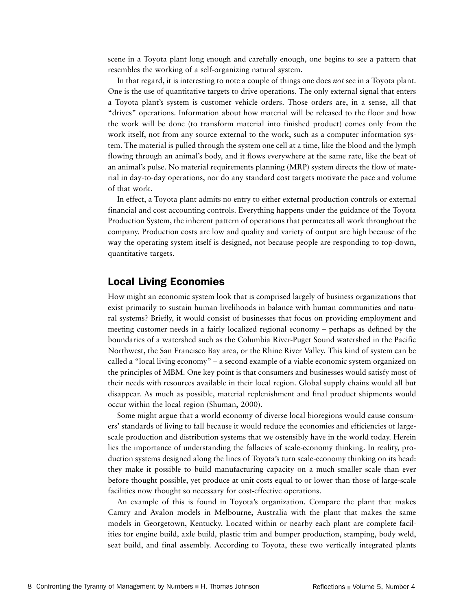scene in a Toyota plant long enough and carefully enough, one begins to see a pattern that resembles the working of a self-organizing natural system.

In that regard, it is interesting to note a couple of things one does *not* see in a Toyota plant. One is the use of quantitative targets to drive operations. The only external signal that enters a Toyota plant's system is customer vehicle orders. Those orders are, in a sense, all that "drives" operations. Information about how material will be released to the floor and how the work will be done (to transform material into finished product) comes only from the work itself, not from any source external to the work, such as a computer information system. The material is pulled through the system one cell at a time, like the blood and the lymph flowing through an animal's body, and it flows everywhere at the same rate, like the beat of an animal's pulse. No material requirements planning (MRP) system directs the flow of material in day-to-day operations, nor do any standard cost targets motivate the pace and volume of that work.

In effect, a Toyota plant admits no entry to either external production controls or external financial and cost accounting controls. Everything happens under the guidance of the Toyota Production System, the inherent pattern of operations that permeates all work throughout the company. Production costs are low and quality and variety of output are high because of the way the operating system itself is designed, not because people are responding to top-down, quantitative targets.

#### Local Living Economies

How might an economic system look that is comprised largely of business organizations that exist primarily to sustain human livelihoods in balance with human communities and natural systems? Briefly, it would consist of businesses that focus on providing employment and meeting customer needs in a fairly localized regional economy – perhaps as defined by the boundaries of a watershed such as the Columbia River-Puget Sound watershed in the Pacific Northwest, the San Francisco Bay area, or the Rhine River Valley. This kind of system can be called a "local living economy" – a second example of a viable economic system organized on the principles of MBM. One key point is that consumers and businesses would satisfy most of their needs with resources available in their local region. Global supply chains would all but disappear. As much as possible, material replenishment and final product shipments would occur within the local region (Shuman, 2000).

Some might argue that a world economy of diverse local bioregions would cause consumers' standards of living to fall because it would reduce the economies and efficiencies of largescale production and distribution systems that we ostensibly have in the world today. Herein lies the importance of understanding the fallacies of scale-economy thinking. In reality, production systems designed along the lines of Toyota's turn scale-economy thinking on its head: they make it possible to build manufacturing capacity on a much smaller scale than ever before thought possible, yet produce at unit costs equal to or lower than those of large-scale facilities now thought so necessary for cost-effective operations.

An example of this is found in Toyota's organization. Compare the plant that makes Camry and Avalon models in Melbourne, Australia with the plant that makes the same models in Georgetown, Kentucky. Located within or nearby each plant are complete facilities for engine build, axle build, plastic trim and bumper production, stamping, body weld, seat build, and final assembly. According to Toyota, these two vertically integrated plants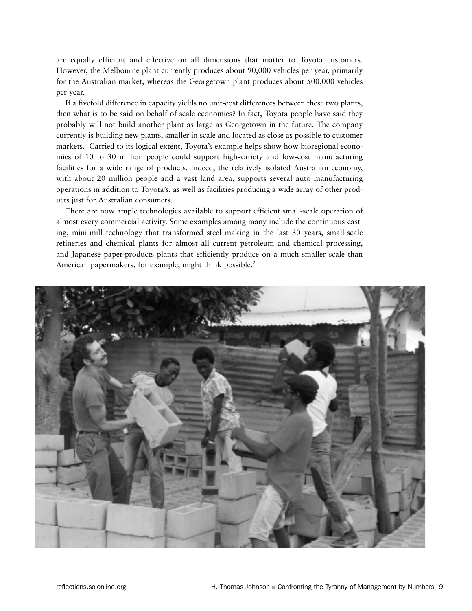are equally efficient and effective on all dimensions that matter to Toyota customers. However, the Melbourne plant currently produces about 90,000 vehicles per year, primarily for the Australian market, whereas the Georgetown plant produces about 500,000 vehicles per year.

If a fivefold difference in capacity yields no unit-cost differences between these two plants, then what is to be said on behalf of scale economies? In fact, Toyota people have said they probably will not build another plant as large as Georgetown in the future. The company currently is building new plants, smaller in scale and located as close as possible to customer markets. Carried to its logical extent, Toyota's example helps show how bioregional economies of 10 to 30 million people could support high-variety and low-cost manufacturing facilities for a wide range of products. Indeed, the relatively isolated Australian economy, with about 20 million people and a vast land area, supports several auto manufacturing operations in addition to Toyota's, as well as facilities producing a wide array of other products just for Australian consumers.

There are now ample technologies available to support efficient small-scale operation of almost every commercial activity. Some examples among many include the continuous-casting, mini-mill technology that transformed steel making in the last 30 years, small-scale refineries and chemical plants for almost all current petroleum and chemical processing, and Japanese paper-products plants that efficiently produce on a much smaller scale than American papermakers, for example, might think possible.<sup>2</sup>

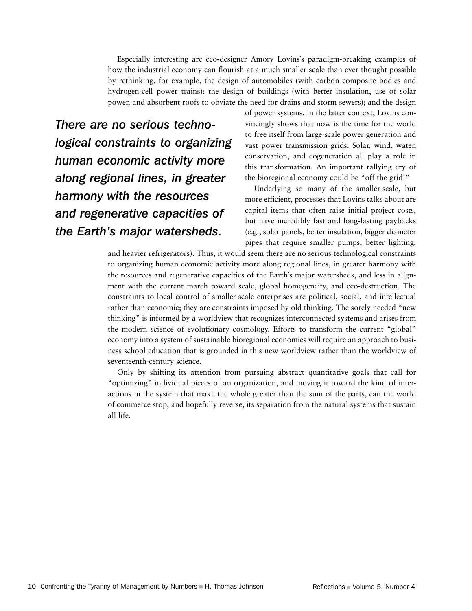Especially interesting are eco-designer Amory Lovins's paradigm-breaking examples of how the industrial economy can flourish at a much smaller scale than ever thought possible by rethinking, for example, the design of automobiles (with carbon composite bodies and hydrogen-cell power trains); the design of buildings (with better insulation, use of solar power, and absorbent roofs to obviate the need for drains and storm sewers); and the design

*There are no serious technological constraints to organizing human economic activity more along regional lines, in greater harmony with the resources and regenerative capacities of the Earth's major watersheds.*

of power systems. In the latter context, Lovins convincingly shows that now is the time for the world to free itself from large-scale power generation and vast power transmission grids. Solar, wind, water, conservation, and cogeneration all play a role in this transformation. An important rallying cry of the bioregional economy could be "off the grid!"

Underlying so many of the smaller-scale, but more efficient, processes that Lovins talks about are capital items that often raise initial project costs, but have incredibly fast and long-lasting paybacks (e.g., solar panels, better insulation, bigger diameter pipes that require smaller pumps, better lighting,

and heavier refrigerators). Thus, it would seem there are no serious technological constraints to organizing human economic activity more along regional lines, in greater harmony with the resources and regenerative capacities of the Earth's major watersheds, and less in alignment with the current march toward scale, global homogeneity, and eco-destruction. The constraints to local control of smaller-scale enterprises are political, social, and intellectual rather than economic; they are constraints imposed by old thinking. The sorely needed "new thinking" is informed by a worldview that recognizes interconnected systems and arises from the modern science of evolutionary cosmology. Efforts to transform the current "global" economy into a system of sustainable bioregional economies will require an approach to business school education that is grounded in this new worldview rather than the worldview of seventeenth-century science.

Only by shifting its attention from pursuing abstract quantitative goals that call for "optimizing" individual pieces of an organization, and moving it toward the kind of interactions in the system that make the whole greater than the sum of the parts, can the world of commerce stop, and hopefully reverse, its separation from the natural systems that sustain all life.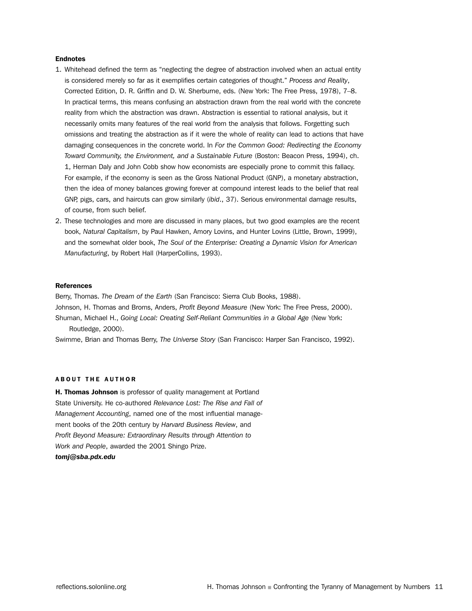#### **Endnotes**

- 1. Whitehead defined the term as "neglecting the degree of abstraction involved when an actual entity is considered merely so far as it exemplifies certain categories of thought." *Process and Reality*, Corrected Edition, D. R. Griffin and D. W. Sherburne, eds. (New York: The Free Press, 1978), 7–8. In practical terms, this means confusing an abstraction drawn from the real world with the concrete reality from which the abstraction was drawn. Abstraction is essential to rational analysis, but it necessarily omits many features of the real world from the analysis that follows. Forgetting such omissions and treating the abstraction as if it were the whole of reality can lead to actions that have damaging consequences in the concrete world. In *For the Common Good: Redirecting the Economy Toward Community, the Environment, and a Sustainable Future* (Boston: Beacon Press, 1994), ch. 1, Herman Daly and John Cobb show how economists are especially prone to commit this fallacy. For example, if the economy is seen as the Gross National Product (GNP), a monetary abstraction, then the idea of money balances growing forever at compound interest leads to the belief that real GNP, pigs, cars, and haircuts can grow similarly (*ibid*., 37). Serious environmental damage results, of course, from such belief.
- 2. These technologies and more are discussed in many places, but two good examples are the recent book, *Natural Capitalism*, by Paul Hawken, Amory Lovins, and Hunter Lovins (Little, Brown, 1999), and the somewhat older book, *The Soul of the Enterprise: Creating a Dynamic Vision for American Manufacturing*, by Robert Hall (HarperCollins, 1993).

#### **References**

Berry, Thomas. *The Dream of the Earth* (San Francisco: Sierra Club Books, 1988). Johnson, H. Thomas and Broms, Anders, *Profit Beyond Measure* (New York: The Free Press, 2000). Shuman, Michael H., *Going Local: Creating Self-Reliant Communities in a Global Age* (New York: Routledge, 2000).

Swimme, Brian and Thomas Berry, *The Universe Story* (San Francisco: Harper San Francisco, 1992).

#### ABOUT THE AUTHOR

**H. Thomas Johnson** is professor of quality management at Portland State University. He co-authored *Relevance Lost: The Rise and Fall of Management Accounting*, named one of the most influential management books of the 20th century by *Harvard Business Review*, and *Profit Beyond Measure: Extraordinary Results through Attention to Work and People*, awarded the 2001 Shingo Prize. *tomj@sba.pdx.edu*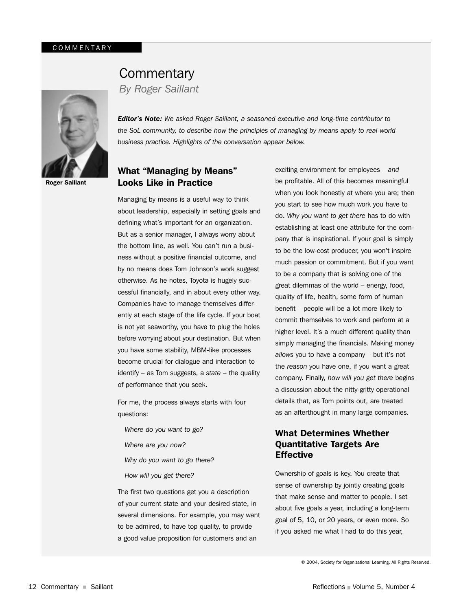

Roger Saillant

## Building Commentary and Commentary Together Now Together Now Together Now Together Now Together Now Together No

**By Roger Saillant** 

*Editor's Note: We asked Roger Saillant, a seasoned executive and long-time contributor to*  the SoL community, to describe how the principles of managing by means apply to real-world *business practice. Highlights of the conversation appear below.*

#### What "Managing by Means" Looks Like in Practice

Managing by means is a useful way to think about leadership, especially in setting goals and defining what's important for an organization. But as a senior manager, I always worry about the bottom line, as well. You can't run a business without a positive financial outcome, and by no means does Tom Johnson's work suggest otherwise. As he notes, Toyota is hugely successful financially, and in about every other way. Companies have to manage themselves differently at each stage of the life cycle. If your boat is not yet seaworthy, you have to plug the holes before worrying about your destination. But when you have some stability, MBM-like processes become crucial for dialogue and interaction to identify – as Tom suggests, a *state* – the quality of performance that you seek.

For me, the process always starts with four questions:

- *Where do you want to go?*
- *Where are you now?*
- *Why do you want to go there?*
- *How will you get there?*

The first two questions get you a description of your current state and your desired state, in several dimensions. For example, you may want to be admired, to have top quality, to provide a good value proposition for customers and an

exciting environment for employees – *and* be profitable. All of this becomes meaningful when you look honestly at where you are; then you start to see how much work you have to do. *Why you want to get there* has to do with establishing at least one attribute for the company that is inspirational. If your goal is simply to be the low-cost producer, you won't inspire much passion or commitment. But if you want to be a company that is solving one of the great dilemmas of the world – energy, food, quality of life, health, some form of human benefit – people will be a lot more likely to commit themselves to work and perform at a higher level. It's a much different quality than simply managing the financials. Making money *allows* you to have a company – but it's not the *reason* you have one, if you want a great company. Finally, *how will you get there* begins a discussion about the nitty-gritty operational details that, as Tom points out, are treated as an afterthought in many large companies.

#### What Determines Whether Quantitative Targets Are **Effective**

Ownership of goals is key. You create that sense of ownership by jointly creating goals that make sense and matter to people. I set about five goals a year, including a long-term goal of 5, 10, or 20 years, or even more. So if you asked me what I had to do this year,

© 2004, Society for Organizational Learning. All Rights Reserved.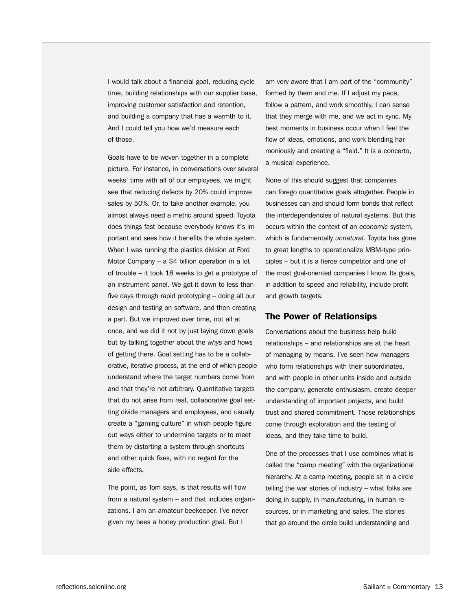I would talk about a financial goal, reducing cycle time, building relationships with our supplier base, improving customer satisfaction and retention, and building a company that has a warmth to it. And I could tell you how we'd measure each of those.

Goals have to be woven together in a complete picture. For instance, in conversations over several weeks' time with all of our employees, we might see that reducing defects by 20% could improve sales by 50%. Or, to take another example, you almost always need a metric around speed. Toyota does things fast because everybody knows it's important and sees how it benefits the whole system. When I was running the plastics division at Ford Motor Company – a \$4 billion operation in a lot of trouble – it took 18 weeks to get a prototype of an instrument panel. We got it down to less than five days through rapid prototyping – doing all our design and testing on software, and then creating a part. But we improved over time, not all at once, and we did it not by just laying down goals but by talking together about the *whys* and *hows* of getting there. Goal setting has to be a collaborative, iterative process, at the end of which people understand where the target numbers come from and that they're not arbitrary. Quantitative targets that do not arise from real, collaborative goal setting divide managers and employees, and usually create a "gaming culture" in which people figure out ways either to undermine targets or to meet them by distorting a system through shortcuts and other quick fixes, with no regard for the side effects.

The point, as Tom says, is that results will flow from a natural system – and that includes organizations. I am an amateur beekeeper. I've never given my bees a honey production goal. But I

am very aware that I am part of the "community" formed by them and me. If I adjust my pace, follow a pattern, and work smoothly, I can sense that they merge with me, and we act in sync. My best moments in business occur when I feel the flow of ideas, emotions, and work blending harmoniously and creating a "field." It is a concerto, a musical experience.

None of this should suggest that companies can forego quantitative goals altogether. People in businesses can and should form bonds that reflect the interdependencies of natural systems. But this occurs within the context of an *economic* system, which is fundamentally *unnatural.* Toyota has gone to great lengths to operationalize MBM-type principles – but it is a fierce competitor and one of the most goal-oriented companies I know. Its goals, in addition to speed and reliability, include profit and growth targets.

#### The Power of Relationsips

Conversations about the business help build relationships – and relationships are at the heart of managing by means. I've seen how managers who form relationships with their subordinates, and with people in other units inside and outside the company, generate enthusiasm, create deeper understanding of important projects, and build trust and shared commitment. Those relationships come through exploration and the testing of ideas, and they take time to build.

One of the processes that I use combines what is called the "camp meeting" with the organizational hierarchy. At a camp meeting, people sit in a circle telling the war stories of industry – what folks are doing in supply, in manufacturing, in human resources, or in marketing and sales. The stories that go around the circle build understanding and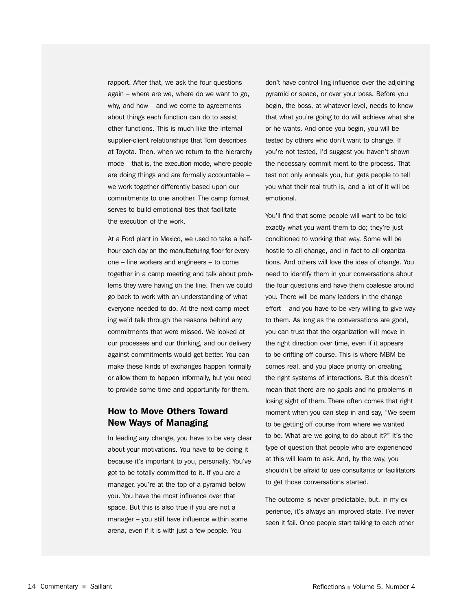rapport. After that, we ask the four questions again – where are we, where do we want to go, why, and how – and we come to agreements about things each function can do to assist other functions. This is much like the internal supplier-client relationships that Tom describes at Toyota. Then, when we return to the hierarchy mode – that is, the execution mode, where people are doing things and are formally accountable – we work together differently based upon our commitments to one another. The camp format serves to build emotional ties that facilitate the execution of the work.

At a Ford plant in Mexico, we used to take a halfhour each day on the manufacturing floor for everyone – line workers and engineers – to come together in a camp meeting and talk about problems they were having on the line. Then we could go back to work with an understanding of what everyone needed to do. At the next camp meeting we'd talk through the reasons behind any commitments that were missed. We looked at our processes and our thinking, and our delivery against commitments would get better. You can make these kinds of exchanges happen formally or allow them to happen informally, but you need to provide some time and opportunity for them.

#### How to Move Others Toward New Ways of Managing

In leading any change, you have to be very clear about your motivations. You have to be doing it because it's important to you, personally. You've got to be totally committed to it. If you are a manager, you're at the top of a pyramid below you. You have the most influence over that space. But this is also true if you are not a manager – you still have influence within some arena, even if it is with just a few people. You

don't have control-ling influence over the adjoining pyramid or space, or over your boss. Before you begin, the boss, at whatever level, needs to know that what you're going to do will achieve what she or he wants. And once you begin, you will be tested by others who don't want to change. If you're not tested, I'd suggest you haven't shown the necessary commit-ment to the process. That test not only anneals you, but gets people to tell you what their real truth is, and a lot of it will be emotional.

You'll find that some people will want to be told exactly what you want them to do; they're just conditioned to working that way. Some will be hostile to all change, and in fact to all organizations. And others will love the idea of change. You need to identify them in your conversations about the four questions and have them coalesce around you. There will be many leaders in the change effort – and you have to be very willing to give way to them. As long as the conversations are good, you can trust that the organization will move in the right direction over time, even if it appears to be drifting off course. This is where MBM becomes real, and you place priority on creating the right systems of interactions. But this doesn't mean that there are no goals and no problems in losing sight of them. There often comes that right moment when you can step in and say, "We seem to be getting off course from where we wanted to be. What are we going to do about it?" It's the type of question that people who are experienced at this will learn to ask. And, by the way, you shouldn't be afraid to use consultants or facilitators to get those conversations started.

The outcome is never predictable, but, in my experience, it's always an improved state. I've never seen it fail. Once people start talking to each other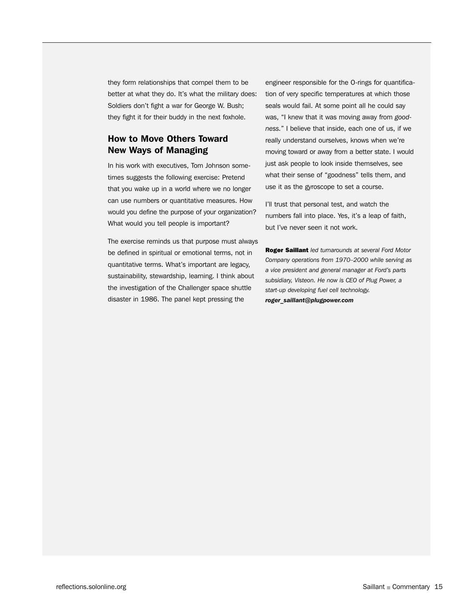they form relationships that compel them to be better at what they do. It's what the military does: Soldiers don't fight a war for George W. Bush; they fight it for their buddy in the next foxhole.

#### How to Move Others Toward New Ways of Managing

In his work with executives, Tom Johnson sometimes suggests the following exercise: Pretend that you wake up in a world where we no longer can use numbers or quantitative measures. How would you define the purpose of your organization? What would you tell people is important?

The exercise reminds us that purpose must always be defined in spiritual or emotional terms, not in quantitative terms. What's important are legacy, sustainability, stewardship, learning. I think about the investigation of the Challenger space shuttle disaster in 1986. The panel kept pressing the

engineer responsible for the O-rings for quantification of very specific temperatures at which those seals would fail. At some point all he could say was, "I knew that it was moving away from *goodness.*" I believe that inside, each one of us, if we really understand ourselves, knows when we're moving toward or away from a better state. I would just ask people to look inside themselves, see what their sense of "goodness" tells them, and use it as the gyroscope to set a course.

I'll trust that personal test, and watch the numbers fall into place. Yes, it's a leap of faith, but I've never seen it not work.

Roger Saillant *led turnarounds at several Ford Motor Company operations from 1970–2000 while serving as a vice president and general manager at Ford's parts subsidiary, Visteon. He now is CEO of Plug Power, a start-up developing fuel cell technology. roger\_saillant@plugpower.com*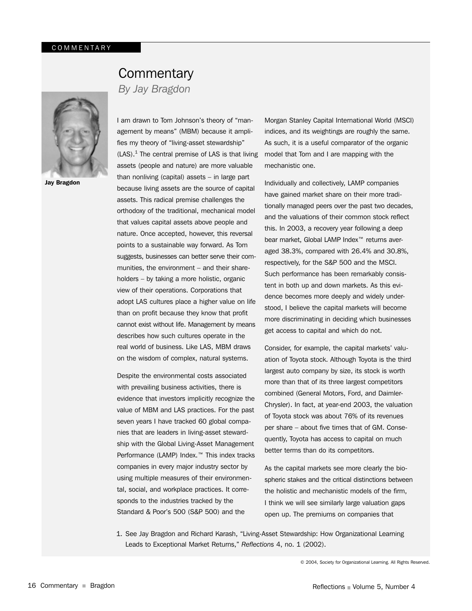## **Commentary**

*By Jay Bragdon*



Jay Bragdon

I am drawn to Tom Johnson's theory of "management by means" (MBM) because it amplifies my theory of "living-asset stewardship"  $(LAS).<sup>1</sup>$  The central premise of LAS is that living assets (people and nature) are more valuable than nonliving (capital) assets – in large part because living assets are the source of capital assets. This radical premise challenges the orthodoxy of the traditional, mechanical model that values capital assets above people and nature. Once accepted, however, this reversal points to a sustainable way forward. As Tom suggests, businesses can better serve their communities, the environment – and their shareholders – by taking a more holistic, organic view of their operations. Corporations that adopt LAS cultures place a higher value on life than on profit because they know that profit cannot exist without life. Management by means describes how such cultures operate in the real world of business. Like LAS, MBM draws on the wisdom of complex, natural systems.

Despite the environmental costs associated with prevailing business activities, there is evidence that investors implicitly recognize the value of MBM and LAS practices. For the past seven years I have tracked 60 global companies that are leaders in living-asset stewardship with the Global Living-Asset Management Performance (LAMP) Index.™ This index tracks companies in every major industry sector by using multiple measures of their environmental, social, and workplace practices. It corresponds to the industries tracked by the Standard & Poor's 500 (S&P 500) and the

Morgan Stanley Capital International World (MSCI) indices, and its weightings are roughly the same. As such, it is a useful comparator of the organic model that Tom and I are mapping with the mechanistic one.

Individually and collectively, LAMP companies have gained market share on their more traditionally managed peers over the past two decades, and the valuations of their common stock reflect this. In 2003, a recovery year following a deep bear market, Global LAMP Index<sup>™</sup> returns averaged 38.3%, compared with 26.4% and 30.8%, respectively, for the S&P 500 and the MSCI. Such performance has been remarkably consistent in both up and down markets. As this evidence becomes more deeply and widely understood, I believe the capital markets will become more discriminating in deciding which businesses get access to capital and which do not.

Consider, for example, the capital markets' valuation of Toyota stock. Although Toyota is the third largest auto company by size, its stock is worth more than that of its three largest competitors combined (General Motors, Ford, and Daimler-Chrysler). In fact, at year-end 2003, the valuation of Toyota stock was about 76% of its revenues per share – about five times that of GM. Consequently, Toyota has access to capital on much better terms than do its competitors.

As the capital markets see more clearly the biospheric stakes and the critical distinctions between the holistic and mechanistic models of the firm, I think we will see similarly large valuation gaps open up. The premiums on companies that

1. See Jay Bragdon and Richard Karash, "Living-Asset Stewardship: How Organizational Learning Leads to Exceptional Market Returns," *Reflections* 4, no. 1 (2002).

© 2004, Society for Organizational Learning. All Rights Reserved.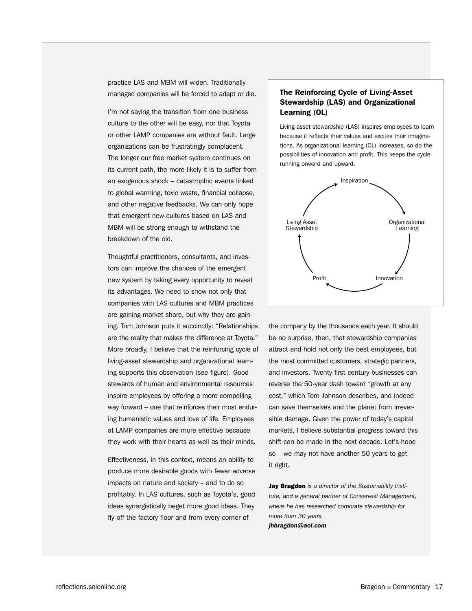practice LAS and MBM will widen. Traditionally managed companies will be forced to adapt or die.

I'm not saying the transition from one business culture to the other will be easy, nor that Toyota or other LAMP companies are without fault. Large organizations can be frustratingly complacent. The longer our free market system continues on its current path, the more likely it is to suffer from an exogenous shock – catastrophic events linked to global warming, toxic waste, financial collapse, and other negative feedbacks. We can only hope that emergent new cultures based on LAS and MBM will be strong enough to withstand the breakdown of the old.

Thoughtful practitioners, consultants, and investors can improve the chances of the emergent new system by taking every opportunity to reveal its advantages. We need to show not only that companies with LAS cultures and MBM practices are gaining market share, but why they are gaining. Tom Johnson puts it succinctly: "Relationships are the reality that makes the difference at Toyota." More broadly, I believe that the reinforcing cycle of living-asset stewardship and organizational learning supports this observation (see figure). Good stewards of human and environmental resources inspire employees by offering a more compelling way forward – one that reinforces their most enduring humanistic values and love of life. Employees at LAMP companies are more effective because they work with their hearts as well as their minds.

Effectiveness, in this context, means an ability to produce more desirable goods with fewer adverse impacts on nature and society – and to do so profitably. In LAS cultures, such as Toyota's, good ideas synergistically beget more good ideas. They fly off the factory floor and from every corner of

#### The Reinforcing Cycle of Living-Asset Stewardship (LAS) and Organizational Learning (OL)

Living-asset stewardship (LAS) inspires employees to learn because it reflects their values and excites their imaginations. As organizational learning (OL) increases, so do the possibilities of innovation and profit. This keeps the cycle running onward and upward.



the company by the thousands each year. It should be no surprise, then, that stewardship companies attract and hold not only the best employees, but the most committed customers, strategic partners, and investors. Twenty-first-century businesses can reverse the 50-year dash toward "growth at any cost," which Tom Johnson describes, and indeed can save themselves and the planet from irreversible damage. Given the power of today's capital markets, I believe substantial progress toward this shift can be made in the next decade. Let's hope so – we may not have another 50 years to get it right.

Jay Bragdon *is a director of the Sustainability Institute, and a general partner of Conservest Management, where he has researched corporate stewardship for more than 30 years. jhbragdon@aol.com*